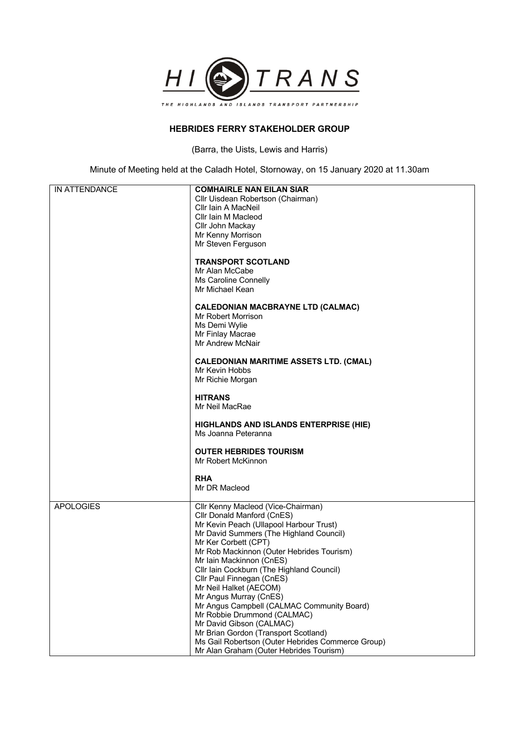

## **HEBRIDES FERRY STAKEHOLDER GROUP**

(Barra, the Uists, Lewis and Harris)

Minute of Meeting held at the Caladh Hotel, Stornoway, on 15 January 2020 at 11.30am

| IN ATTENDANCE    | <b>COMHAIRLE NAN EILAN SIAR</b>                     |
|------------------|-----------------------------------------------------|
|                  | Cllr Uisdean Robertson (Chairman)                   |
|                  | Cllr Iain A MacNeil                                 |
|                  | Cllr Iain M Macleod                                 |
|                  | Cllr John Mackay                                    |
|                  | Mr Kenny Morrison<br>Mr Steven Ferguson             |
|                  |                                                     |
|                  | <b>TRANSPORT SCOTLAND</b>                           |
|                  | Mr Alan McCabe                                      |
|                  | Ms Caroline Connelly                                |
|                  | Mr Michael Kean                                     |
|                  | <b>CALEDONIAN MACBRAYNE LTD (CALMAC)</b>            |
|                  | Mr Robert Morrison                                  |
|                  | Ms Demi Wylie                                       |
|                  | Mr Finlay Macrae                                    |
|                  | Mr Andrew McNair                                    |
|                  | <b>CALEDONIAN MARITIME ASSETS LTD. (CMAL)</b>       |
|                  | Mr Kevin Hobbs                                      |
|                  | Mr Richie Morgan                                    |
|                  | <b>HITRANS</b>                                      |
|                  | Mr Neil MacRae                                      |
|                  |                                                     |
|                  | HIGHLANDS AND ISLANDS ENTERPRISE (HIE)              |
|                  | Ms Joanna Peteranna                                 |
|                  | <b>OUTER HEBRIDES TOURISM</b>                       |
|                  | Mr Robert McKinnon                                  |
|                  |                                                     |
|                  | <b>RHA</b>                                          |
|                  | Mr DR Macleod                                       |
| <b>APOLOGIES</b> | Cllr Kenny Macleod (Vice-Chairman)                  |
|                  | Cllr Donald Manford (CnES)                          |
|                  | Mr Kevin Peach (Ullapool Harbour Trust)             |
|                  | Mr David Summers (The Highland Council)             |
|                  | Mr Ker Corbett (CPT)                                |
|                  | Mr Rob Mackinnon (Outer Hebrides Tourism)           |
|                  | Mr Iain Mackinnon (CnES)                            |
|                  | Cllr Iain Cockburn (The Highland Council)           |
|                  | Cllr Paul Finnegan (CnES)<br>Mr Neil Halket (AECOM) |
|                  | Mr Angus Murray (CnES)                              |
|                  | Mr Angus Campbell (CALMAC Community Board)          |
|                  | Mr Robbie Drummond (CALMAC)                         |
|                  | Mr David Gibson (CALMAC)                            |
|                  | Mr Brian Gordon (Transport Scotland)                |
|                  | Ms Gail Robertson (Outer Hebrides Commerce Group)   |
|                  | Mr Alan Graham (Outer Hebrides Tourism)             |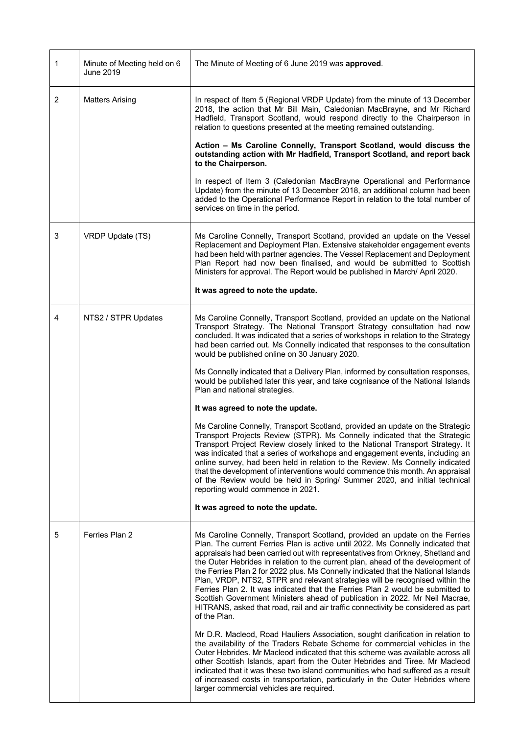| 1              | Minute of Meeting held on 6<br>June 2019 | The Minute of Meeting of 6 June 2019 was approved.                                                                                                                                                                                                                                                                                                                                                                                                                                                                                                                                                                                                                                                                                                                             |
|----------------|------------------------------------------|--------------------------------------------------------------------------------------------------------------------------------------------------------------------------------------------------------------------------------------------------------------------------------------------------------------------------------------------------------------------------------------------------------------------------------------------------------------------------------------------------------------------------------------------------------------------------------------------------------------------------------------------------------------------------------------------------------------------------------------------------------------------------------|
| 2              | <b>Matters Arising</b>                   | In respect of Item 5 (Regional VRDP Update) from the minute of 13 December<br>2018, the action that Mr Bill Main, Caledonian MacBrayne, and Mr Richard<br>Hadfield, Transport Scotland, would respond directly to the Chairperson in<br>relation to questions presented at the meeting remained outstanding.                                                                                                                                                                                                                                                                                                                                                                                                                                                                   |
|                |                                          | Action - Ms Caroline Connelly, Transport Scotland, would discuss the<br>outstanding action with Mr Hadfield, Transport Scotland, and report back<br>to the Chairperson.                                                                                                                                                                                                                                                                                                                                                                                                                                                                                                                                                                                                        |
|                |                                          | In respect of Item 3 (Caledonian MacBrayne Operational and Performance<br>Update) from the minute of 13 December 2018, an additional column had been<br>added to the Operational Performance Report in relation to the total number of<br>services on time in the period.                                                                                                                                                                                                                                                                                                                                                                                                                                                                                                      |
| 3              | VRDP Update (TS)                         | Ms Caroline Connelly, Transport Scotland, provided an update on the Vessel<br>Replacement and Deployment Plan. Extensive stakeholder engagement events<br>had been held with partner agencies. The Vessel Replacement and Deployment<br>Plan Report had now been finalised, and would be submitted to Scottish<br>Ministers for approval. The Report would be published in March/ April 2020.                                                                                                                                                                                                                                                                                                                                                                                  |
|                |                                          | It was agreed to note the update.                                                                                                                                                                                                                                                                                                                                                                                                                                                                                                                                                                                                                                                                                                                                              |
| $\overline{4}$ | NTS2 / STPR Updates                      | Ms Caroline Connelly, Transport Scotland, provided an update on the National<br>Transport Strategy. The National Transport Strategy consultation had now<br>concluded. It was indicated that a series of workshops in relation to the Strategy<br>had been carried out. Ms Connelly indicated that responses to the consultation<br>would be published online on 30 January 2020.                                                                                                                                                                                                                                                                                                                                                                                              |
|                |                                          | Ms Connelly indicated that a Delivery Plan, informed by consultation responses,<br>would be published later this year, and take cognisance of the National Islands<br>Plan and national strategies.                                                                                                                                                                                                                                                                                                                                                                                                                                                                                                                                                                            |
|                |                                          | It was agreed to note the update.                                                                                                                                                                                                                                                                                                                                                                                                                                                                                                                                                                                                                                                                                                                                              |
|                |                                          | Ms Caroline Connelly, Transport Scotland, provided an update on the Strategic<br>Transport Projects Review (STPR). Ms Connelly indicated that the Strategic<br>Transport Project Review closely linked to the National Transport Strategy. It<br>was indicated that a series of workshops and engagement events, including an<br>online survey, had been held in relation to the Review. Ms Connelly indicated<br>that the development of interventions would commence this month. An appraisal<br>of the Review would be held in Spring/ Summer 2020, and initial technical<br>reporting would commence in 2021.                                                                                                                                                              |
|                |                                          | It was agreed to note the update.                                                                                                                                                                                                                                                                                                                                                                                                                                                                                                                                                                                                                                                                                                                                              |
| 5              | Ferries Plan 2                           | Ms Caroline Connelly, Transport Scotland, provided an update on the Ferries<br>Plan. The current Ferries Plan is active until 2022. Ms Connelly indicated that<br>appraisals had been carried out with representatives from Orkney, Shetland and<br>the Outer Hebrides in relation to the current plan, ahead of the development of<br>the Ferries Plan 2 for 2022 plus. Ms Connelly indicated that the National Islands<br>Plan, VRDP, NTS2, STPR and relevant strategies will be recognised within the<br>Ferries Plan 2. It was indicated that the Ferries Plan 2 would be submitted to<br>Scottish Government Ministers ahead of publication in 2022. Mr Neil Macrae,<br>HITRANS, asked that road, rail and air traffic connectivity be considered as part<br>of the Plan. |
|                |                                          | Mr D.R. Macleod, Road Hauliers Association, sought clarification in relation to<br>the availability of the Traders Rebate Scheme for commercial vehicles in the<br>Outer Hebrides. Mr Macleod indicated that this scheme was available across all<br>other Scottish Islands, apart from the Outer Hebrides and Tiree. Mr Macleod<br>indicated that it was these two island communities who had suffered as a result<br>of increased costs in transportation, particularly in the Outer Hebrides where<br>larger commercial vehicles are required.                                                                                                                                                                                                                              |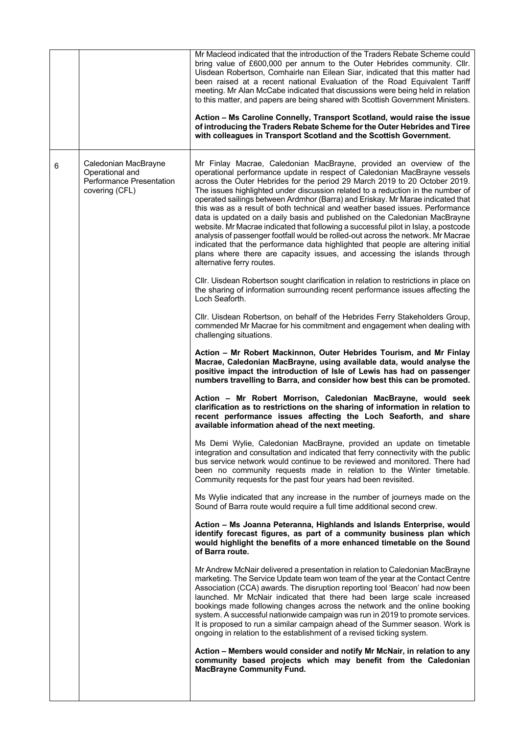|   |                                                                                              | Mr Macleod indicated that the introduction of the Traders Rebate Scheme could<br>bring value of £600,000 per annum to the Outer Hebrides community. Cllr.<br>Uisdean Robertson, Comhairle nan Eilean Siar, indicated that this matter had<br>been raised at a recent national Evaluation of the Road Equivalent Tariff<br>meeting. Mr Alan McCabe indicated that discussions were being held in relation<br>to this matter, and papers are being shared with Scottish Government Ministers.<br>Action - Ms Caroline Connelly, Transport Scotland, would raise the issue<br>of introducing the Traders Rebate Scheme for the Outer Hebrides and Tiree<br>with colleagues in Transport Scotland and the Scottish Government.                                                                                                                                                                                                                |
|---|----------------------------------------------------------------------------------------------|-------------------------------------------------------------------------------------------------------------------------------------------------------------------------------------------------------------------------------------------------------------------------------------------------------------------------------------------------------------------------------------------------------------------------------------------------------------------------------------------------------------------------------------------------------------------------------------------------------------------------------------------------------------------------------------------------------------------------------------------------------------------------------------------------------------------------------------------------------------------------------------------------------------------------------------------|
| 6 | Caledonian MacBrayne<br>Operational and<br><b>Performance Presentation</b><br>covering (CFL) | Mr Finlay Macrae, Caledonian MacBrayne, provided an overview of the<br>operational performance update in respect of Caledonian MacBrayne vessels<br>across the Outer Hebrides for the period 29 March 2019 to 20 October 2019.<br>The issues highlighted under discussion related to a reduction in the number of<br>operated sailings between Ardmhor (Barra) and Eriskay. Mr Marae indicated that<br>this was as a result of both technical and weather based issues. Performance<br>data is updated on a daily basis and published on the Caledonian MacBrayne<br>website. Mr Macrae indicated that following a successful pilot in Islay, a postcode<br>analysis of passenger footfall would be rolled-out across the network. Mr Macrae<br>indicated that the performance data highlighted that people are altering initial<br>plans where there are capacity issues, and accessing the islands through<br>alternative ferry routes. |
|   |                                                                                              | Cllr. Uisdean Robertson sought clarification in relation to restrictions in place on<br>the sharing of information surrounding recent performance issues affecting the<br>Loch Seaforth.                                                                                                                                                                                                                                                                                                                                                                                                                                                                                                                                                                                                                                                                                                                                                  |
|   |                                                                                              | CIIr. Uisdean Robertson, on behalf of the Hebrides Ferry Stakeholders Group,<br>commended Mr Macrae for his commitment and engagement when dealing with<br>challenging situations.                                                                                                                                                                                                                                                                                                                                                                                                                                                                                                                                                                                                                                                                                                                                                        |
|   |                                                                                              | Action - Mr Robert Mackinnon, Outer Hebrides Tourism, and Mr Finlay<br>Macrae, Caledonian MacBrayne, using available data, would analyse the<br>positive impact the introduction of Isle of Lewis has had on passenger<br>numbers travelling to Barra, and consider how best this can be promoted.                                                                                                                                                                                                                                                                                                                                                                                                                                                                                                                                                                                                                                        |
|   |                                                                                              | Action - Mr Robert Morrison, Caledonian MacBrayne, would seek<br>clarification as to restrictions on the sharing of information in relation to<br>recent performance issues affecting the Loch Seaforth, and share<br>available information ahead of the next meeting.                                                                                                                                                                                                                                                                                                                                                                                                                                                                                                                                                                                                                                                                    |
|   |                                                                                              | Ms Demi Wylie, Caledonian MacBrayne, provided an update on timetable<br>integration and consultation and indicated that ferry connectivity with the public<br>bus service network would continue to be reviewed and monitored. There had<br>been no community requests made in relation to the Winter timetable.<br>Community requests for the past four years had been revisited.                                                                                                                                                                                                                                                                                                                                                                                                                                                                                                                                                        |
|   |                                                                                              | Ms Wylie indicated that any increase in the number of journeys made on the<br>Sound of Barra route would require a full time additional second crew.                                                                                                                                                                                                                                                                                                                                                                                                                                                                                                                                                                                                                                                                                                                                                                                      |
|   |                                                                                              | Action - Ms Joanna Peteranna, Highlands and Islands Enterprise, would<br>identify forecast figures, as part of a community business plan which<br>would highlight the benefits of a more enhanced timetable on the Sound<br>of Barra route.                                                                                                                                                                                                                                                                                                                                                                                                                                                                                                                                                                                                                                                                                               |
|   |                                                                                              | Mr Andrew McNair delivered a presentation in relation to Caledonian MacBrayne<br>marketing. The Service Update team won team of the year at the Contact Centre<br>Association (CCA) awards. The disruption reporting tool 'Beacon' had now been<br>launched. Mr McNair indicated that there had been large scale increased<br>bookings made following changes across the network and the online booking<br>system. A successful nationwide campaign was run in 2019 to promote services.<br>It is proposed to run a similar campaign ahead of the Summer season. Work is<br>ongoing in relation to the establishment of a revised ticking system.                                                                                                                                                                                                                                                                                         |
|   |                                                                                              | Action - Members would consider and notify Mr McNair, in relation to any<br>community based projects which may benefit from the Caledonian<br><b>MacBrayne Community Fund.</b>                                                                                                                                                                                                                                                                                                                                                                                                                                                                                                                                                                                                                                                                                                                                                            |